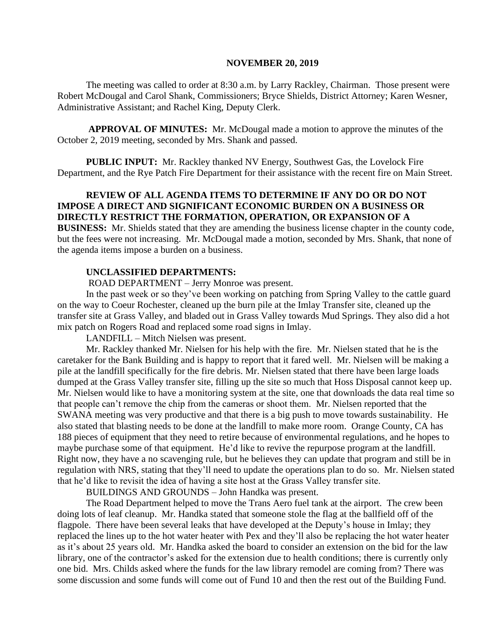#### **NOVEMBER 20, 2019**

The meeting was called to order at 8:30 a.m. by Larry Rackley, Chairman. Those present were Robert McDougal and Carol Shank, Commissioners; Bryce Shields, District Attorney; Karen Wesner, Administrative Assistant; and Rachel King, Deputy Clerk.

**APPROVAL OF MINUTES:** Mr. McDougal made a motion to approve the minutes of the October 2, 2019 meeting, seconded by Mrs. Shank and passed.

 **PUBLIC INPUT:** Mr. Rackley thanked NV Energy, Southwest Gas, the Lovelock Fire Department, and the Rye Patch Fire Department for their assistance with the recent fire on Main Street.

# **REVIEW OF ALL AGENDA ITEMS TO DETERMINE IF ANY DO OR DO NOT IMPOSE A DIRECT AND SIGNIFICANT ECONOMIC BURDEN ON A BUSINESS OR DIRECTLY RESTRICT THE FORMATION, OPERATION, OR EXPANSION OF A**

**BUSINESS:** Mr. Shields stated that they are amending the business license chapter in the county code, but the fees were not increasing. Mr. McDougal made a motion, seconded by Mrs. Shank, that none of the agenda items impose a burden on a business.

#### **UNCLASSIFIED DEPARTMENTS:**

ROAD DEPARTMENT – Jerry Monroe was present.

In the past week or so they've been working on patching from Spring Valley to the cattle guard on the way to Coeur Rochester, cleaned up the burn pile at the Imlay Transfer site, cleaned up the transfer site at Grass Valley, and bladed out in Grass Valley towards Mud Springs. They also did a hot mix patch on Rogers Road and replaced some road signs in Imlay.

LANDFILL – Mitch Nielsen was present.

Mr. Rackley thanked Mr. Nielsen for his help with the fire. Mr. Nielsen stated that he is the caretaker for the Bank Building and is happy to report that it fared well. Mr. Nielsen will be making a pile at the landfill specifically for the fire debris. Mr. Nielsen stated that there have been large loads dumped at the Grass Valley transfer site, filling up the site so much that Hoss Disposal cannot keep up. Mr. Nielsen would like to have a monitoring system at the site, one that downloads the data real time so that people can't remove the chip from the cameras or shoot them. Mr. Nielsen reported that the SWANA meeting was very productive and that there is a big push to move towards sustainability. He also stated that blasting needs to be done at the landfill to make more room. Orange County, CA has 188 pieces of equipment that they need to retire because of environmental regulations, and he hopes to maybe purchase some of that equipment. He'd like to revive the repurpose program at the landfill. Right now, they have a no scavenging rule, but he believes they can update that program and still be in regulation with NRS, stating that they'll need to update the operations plan to do so. Mr. Nielsen stated that he'd like to revisit the idea of having a site host at the Grass Valley transfer site.

BUILDINGS AND GROUNDS – John Handka was present.

The Road Department helped to move the Trans Aero fuel tank at the airport. The crew been doing lots of leaf cleanup. Mr. Handka stated that someone stole the flag at the ballfield off of the flagpole. There have been several leaks that have developed at the Deputy's house in Imlay; they replaced the lines up to the hot water heater with Pex and they'll also be replacing the hot water heater as it's about 25 years old. Mr. Handka asked the board to consider an extension on the bid for the law library, one of the contractor's asked for the extension due to health conditions; there is currently only one bid. Mrs. Childs asked where the funds for the law library remodel are coming from? There was some discussion and some funds will come out of Fund 10 and then the rest out of the Building Fund.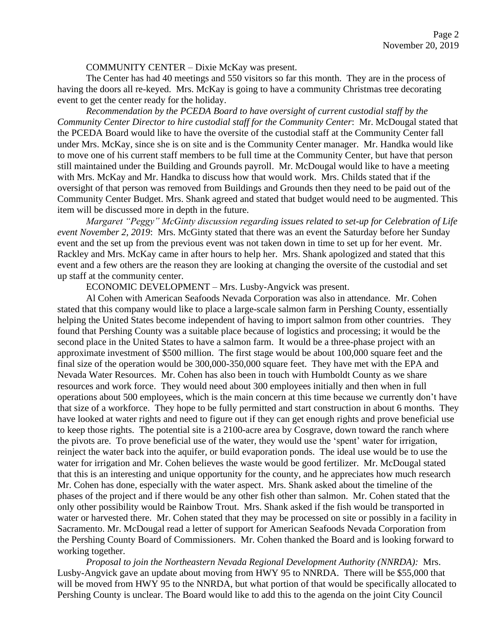#### COMMUNITY CENTER – Dixie McKay was present.

The Center has had 40 meetings and 550 visitors so far this month. They are in the process of having the doors all re-keyed. Mrs. McKay is going to have a community Christmas tree decorating event to get the center ready for the holiday.

*Recommendation by the PCEDA Board to have oversight of current custodial staff by the Community Center Director to hire custodial staff for the Community Center*: Mr. McDougal stated that the PCEDA Board would like to have the oversite of the custodial staff at the Community Center fall under Mrs. McKay, since she is on site and is the Community Center manager. Mr. Handka would like to move one of his current staff members to be full time at the Community Center, but have that person still maintained under the Building and Grounds payroll. Mr. McDougal would like to have a meeting with Mrs. McKay and Mr. Handka to discuss how that would work. Mrs. Childs stated that if the oversight of that person was removed from Buildings and Grounds then they need to be paid out of the Community Center Budget. Mrs. Shank agreed and stated that budget would need to be augmented. This item will be discussed more in depth in the future.

*Margaret "Peggy" McGinty discussion regarding issues related to set-up for Celebration of Life event November 2, 2019*: Mrs. McGinty stated that there was an event the Saturday before her Sunday event and the set up from the previous event was not taken down in time to set up for her event. Mr. Rackley and Mrs. McKay came in after hours to help her. Mrs. Shank apologized and stated that this event and a few others are the reason they are looking at changing the oversite of the custodial and set up staff at the community center.

ECONOMIC DEVELOPMENT – Mrs. Lusby-Angvick was present.

Al Cohen with American Seafoods Nevada Corporation was also in attendance. Mr. Cohen stated that this company would like to place a large-scale salmon farm in Pershing County, essentially helping the United States become independent of having to import salmon from other countries. They found that Pershing County was a suitable place because of logistics and processing; it would be the second place in the United States to have a salmon farm. It would be a three-phase project with an approximate investment of \$500 million. The first stage would be about 100,000 square feet and the final size of the operation would be 300,000-350,000 square feet. They have met with the EPA and Nevada Water Resources. Mr. Cohen has also been in touch with Humboldt County as we share resources and work force. They would need about 300 employees initially and then when in full operations about 500 employees, which is the main concern at this time because we currently don't have that size of a workforce. They hope to be fully permitted and start construction in about 6 months. They have looked at water rights and need to figure out if they can get enough rights and prove beneficial use to keep those rights. The potential site is a 2100-acre area by Cosgrave, down toward the ranch where the pivots are. To prove beneficial use of the water, they would use the 'spent' water for irrigation, reinject the water back into the aquifer, or build evaporation ponds. The ideal use would be to use the water for irrigation and Mr. Cohen believes the waste would be good fertilizer. Mr. McDougal stated that this is an interesting and unique opportunity for the county, and he appreciates how much research Mr. Cohen has done, especially with the water aspect. Mrs. Shank asked about the timeline of the phases of the project and if there would be any other fish other than salmon. Mr. Cohen stated that the only other possibility would be Rainbow Trout. Mrs. Shank asked if the fish would be transported in water or harvested there. Mr. Cohen stated that they may be processed on site or possibly in a facility in Sacramento. Mr. McDougal read a letter of support for American Seafoods Nevada Corporation from the Pershing County Board of Commissioners. Mr. Cohen thanked the Board and is looking forward to working together.

*Proposal to join the Northeastern Nevada Regional Development Authority (NNRDA):* Mrs. Lusby-Angvick gave an update about moving from HWY 95 to NNRDA. There will be \$55,000 that will be moved from HWY 95 to the NNRDA, but what portion of that would be specifically allocated to Pershing County is unclear. The Board would like to add this to the agenda on the joint City Council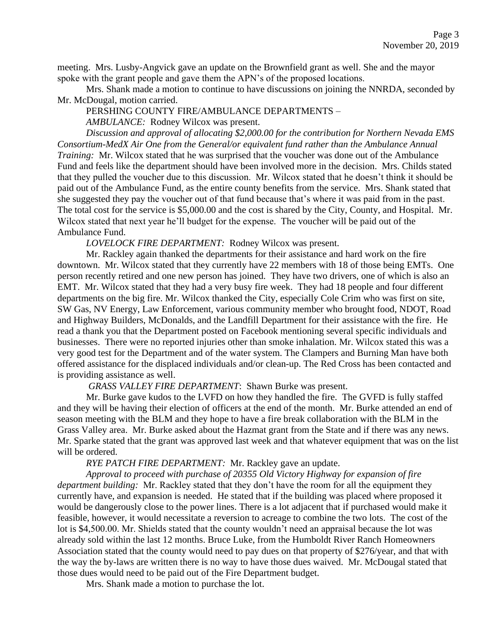meeting. Mrs. Lusby-Angvick gave an update on the Brownfield grant as well. She and the mayor spoke with the grant people and gave them the APN's of the proposed locations.

Mrs. Shank made a motion to continue to have discussions on joining the NNRDA, seconded by Mr. McDougal, motion carried.

### PERSHING COUNTY FIRE/AMBULANCE DEPARTMENTS –

*AMBULANCE:* Rodney Wilcox was present.

*Discussion and approval of allocating \$2,000.00 for the contribution for Northern Nevada EMS Consortium-MedX Air One from the General/or equivalent fund rather than the Ambulance Annual Training:* Mr. Wilcox stated that he was surprised that the voucher was done out of the Ambulance Fund and feels like the department should have been involved more in the decision. Mrs. Childs stated that they pulled the voucher due to this discussion. Mr. Wilcox stated that he doesn't think it should be paid out of the Ambulance Fund, as the entire county benefits from the service. Mrs. Shank stated that she suggested they pay the voucher out of that fund because that's where it was paid from in the past. The total cost for the service is \$5,000.00 and the cost is shared by the City, County, and Hospital. Mr. Wilcox stated that next year he'll budget for the expense. The voucher will be paid out of the Ambulance Fund.

*LOVELOCK FIRE DEPARTMENT:* Rodney Wilcox was present.

Mr. Rackley again thanked the departments for their assistance and hard work on the fire downtown. Mr. Wilcox stated that they currently have 22 members with 18 of those being EMTs. One person recently retired and one new person has joined. They have two drivers, one of which is also an EMT. Mr. Wilcox stated that they had a very busy fire week. They had 18 people and four different departments on the big fire. Mr. Wilcox thanked the City, especially Cole Crim who was first on site, SW Gas, NV Energy, Law Enforcement, various community member who brought food, NDOT, Road and Highway Builders, McDonalds, and the Landfill Department for their assistance with the fire. He read a thank you that the Department posted on Facebook mentioning several specific individuals and businesses. There were no reported injuries other than smoke inhalation. Mr. Wilcox stated this was a very good test for the Department and of the water system. The Clampers and Burning Man have both offered assistance for the displaced individuals and/or clean-up. The Red Cross has been contacted and is providing assistance as well.

*GRASS VALLEY FIRE DEPARTMENT*: Shawn Burke was present.

Mr. Burke gave kudos to the LVFD on how they handled the fire. The GVFD is fully staffed and they will be having their election of officers at the end of the month. Mr. Burke attended an end of season meeting with the BLM and they hope to have a fire break collaboration with the BLM in the Grass Valley area. Mr. Burke asked about the Hazmat grant from the State and if there was any news. Mr. Sparke stated that the grant was approved last week and that whatever equipment that was on the list will be ordered.

# *RYE PATCH FIRE DEPARTMENT:* Mr. Rackley gave an update.

*Approval to proceed with purchase of 20355 Old Victory Highway for expansion of fire department building:* Mr. Rackley stated that they don't have the room for all the equipment they currently have, and expansion is needed. He stated that if the building was placed where proposed it would be dangerously close to the power lines. There is a lot adjacent that if purchased would make it feasible, however, it would necessitate a reversion to acreage to combine the two lots. The cost of the lot is \$4,500.00. Mr. Shields stated that the county wouldn't need an appraisal because the lot was already sold within the last 12 months. Bruce Luke, from the Humboldt River Ranch Homeowners Association stated that the county would need to pay dues on that property of \$276/year, and that with the way the by-laws are written there is no way to have those dues waived. Mr. McDougal stated that those dues would need to be paid out of the Fire Department budget.

Mrs. Shank made a motion to purchase the lot.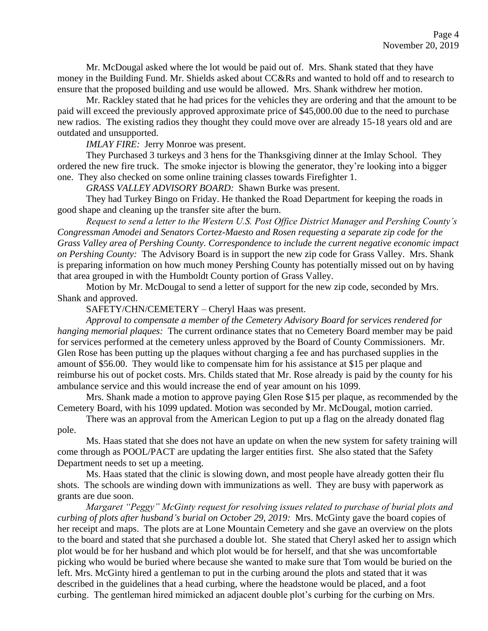Mr. McDougal asked where the lot would be paid out of. Mrs. Shank stated that they have money in the Building Fund. Mr. Shields asked about CC&Rs and wanted to hold off and to research to ensure that the proposed building and use would be allowed. Mrs. Shank withdrew her motion.

Mr. Rackley stated that he had prices for the vehicles they are ordering and that the amount to be paid will exceed the previously approved approximate price of \$45,000.00 due to the need to purchase new radios. The existing radios they thought they could move over are already 15-18 years old and are outdated and unsupported.

*IMLAY FIRE:* Jerry Monroe was present.

They Purchased 3 turkeys and 3 hens for the Thanksgiving dinner at the Imlay School. They ordered the new fire truck. The smoke injector is blowing the generator, they're looking into a bigger one. They also checked on some online training classes towards Firefighter 1.

*GRASS VALLEY ADVISORY BOARD:* Shawn Burke was present.

They had Turkey Bingo on Friday. He thanked the Road Department for keeping the roads in good shape and cleaning up the transfer site after the burn.

*Request to send a letter to the Western U.S. Post Office District Manager and Pershing County's Congressman Amodei and Senators Cortez-Maesto and Rosen requesting a separate zip code for the Grass Valley area of Pershing County. Correspondence to include the current negative economic impact on Pershing County:* The Advisory Board is in support the new zip code for Grass Valley. Mrs. Shank is preparing information on how much money Pershing County has potentially missed out on by having that area grouped in with the Humboldt County portion of Grass Valley.

Motion by Mr. McDougal to send a letter of support for the new zip code, seconded by Mrs. Shank and approved.

SAFETY/CHN/CEMETERY – Cheryl Haas was present.

*Approval to compensate a member of the Cemetery Advisory Board for services rendered for hanging memorial plaques:* The current ordinance states that no Cemetery Board member may be paid for services performed at the cemetery unless approved by the Board of County Commissioners. Mr. Glen Rose has been putting up the plaques without charging a fee and has purchased supplies in the amount of \$56.00. They would like to compensate him for his assistance at \$15 per plaque and reimburse his out of pocket costs. Mrs. Childs stated that Mr. Rose already is paid by the county for his ambulance service and this would increase the end of year amount on his 1099.

Mrs. Shank made a motion to approve paying Glen Rose \$15 per plaque, as recommended by the Cemetery Board, with his 1099 updated. Motion was seconded by Mr. McDougal, motion carried.

There was an approval from the American Legion to put up a flag on the already donated flag pole.

Ms. Haas stated that she does not have an update on when the new system for safety training will come through as POOL/PACT are updating the larger entities first. She also stated that the Safety Department needs to set up a meeting.

Ms. Haas stated that the clinic is slowing down, and most people have already gotten their flu shots. The schools are winding down with immunizations as well. They are busy with paperwork as grants are due soon.

*Margaret "Peggy" McGinty request for resolving issues related to purchase of burial plots and curbing of plots after husband's burial on October 29, 2019:* Mrs. McGinty gave the board copies of her receipt and maps. The plots are at Lone Mountain Cemetery and she gave an overview on the plots to the board and stated that she purchased a double lot. She stated that Cheryl asked her to assign which plot would be for her husband and which plot would be for herself, and that she was uncomfortable picking who would be buried where because she wanted to make sure that Tom would be buried on the left. Mrs. McGinty hired a gentleman to put in the curbing around the plots and stated that it was described in the guidelines that a head curbing, where the headstone would be placed, and a foot curbing. The gentleman hired mimicked an adjacent double plot's curbing for the curbing on Mrs.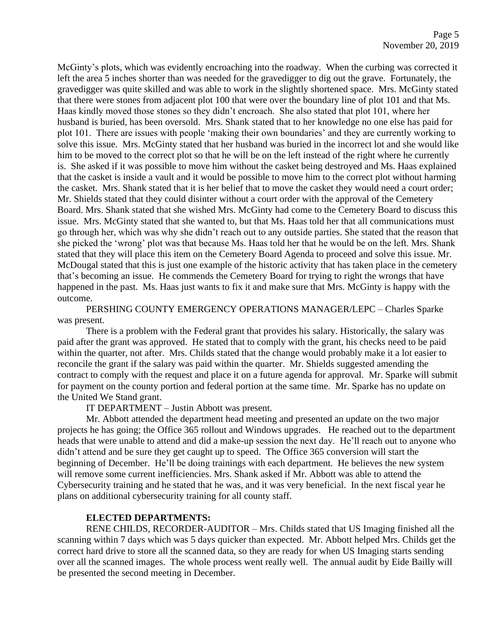McGinty's plots, which was evidently encroaching into the roadway. When the curbing was corrected it left the area 5 inches shorter than was needed for the gravedigger to dig out the grave. Fortunately, the gravedigger was quite skilled and was able to work in the slightly shortened space. Mrs. McGinty stated that there were stones from adjacent plot 100 that were over the boundary line of plot 101 and that Ms. Haas kindly moved those stones so they didn't encroach. She also stated that plot 101, where her husband is buried, has been oversold. Mrs. Shank stated that to her knowledge no one else has paid for plot 101. There are issues with people 'making their own boundaries' and they are currently working to solve this issue. Mrs. McGinty stated that her husband was buried in the incorrect lot and she would like him to be moved to the correct plot so that he will be on the left instead of the right where he currently is. She asked if it was possible to move him without the casket being destroyed and Ms. Haas explained that the casket is inside a vault and it would be possible to move him to the correct plot without harming the casket. Mrs. Shank stated that it is her belief that to move the casket they would need a court order; Mr. Shields stated that they could disinter without a court order with the approval of the Cemetery Board. Mrs. Shank stated that she wished Mrs. McGinty had come to the Cemetery Board to discuss this issue. Mrs. McGinty stated that she wanted to, but that Ms. Haas told her that all communications must go through her, which was why she didn't reach out to any outside parties. She stated that the reason that she picked the 'wrong' plot was that because Ms. Haas told her that he would be on the left. Mrs. Shank stated that they will place this item on the Cemetery Board Agenda to proceed and solve this issue. Mr. McDougal stated that this is just one example of the historic activity that has taken place in the cemetery that's becoming an issue. He commends the Cemetery Board for trying to right the wrongs that have happened in the past. Ms. Haas just wants to fix it and make sure that Mrs. McGinty is happy with the outcome.

PERSHING COUNTY EMERGENCY OPERATIONS MANAGER/LEPC – Charles Sparke was present.

There is a problem with the Federal grant that provides his salary. Historically, the salary was paid after the grant was approved. He stated that to comply with the grant, his checks need to be paid within the quarter, not after. Mrs. Childs stated that the change would probably make it a lot easier to reconcile the grant if the salary was paid within the quarter. Mr. Shields suggested amending the contract to comply with the request and place it on a future agenda for approval. Mr. Sparke will submit for payment on the county portion and federal portion at the same time. Mr. Sparke has no update on the United We Stand grant.

IT DEPARTMENT – Justin Abbott was present.

Mr. Abbott attended the department head meeting and presented an update on the two major projects he has going; the Office 365 rollout and Windows upgrades. He reached out to the department heads that were unable to attend and did a make-up session the next day. He'll reach out to anyone who didn't attend and be sure they get caught up to speed. The Office 365 conversion will start the beginning of December. He'll be doing trainings with each department. He believes the new system will remove some current inefficiencies. Mrs. Shank asked if Mr. Abbott was able to attend the Cybersecurity training and he stated that he was, and it was very beneficial. In the next fiscal year he plans on additional cybersecurity training for all county staff.

### **ELECTED DEPARTMENTS:**

RENE CHILDS, RECORDER-AUDITOR – Mrs. Childs stated that US Imaging finished all the scanning within 7 days which was 5 days quicker than expected. Mr. Abbott helped Mrs. Childs get the correct hard drive to store all the scanned data, so they are ready for when US Imaging starts sending over all the scanned images. The whole process went really well. The annual audit by Eide Bailly will be presented the second meeting in December.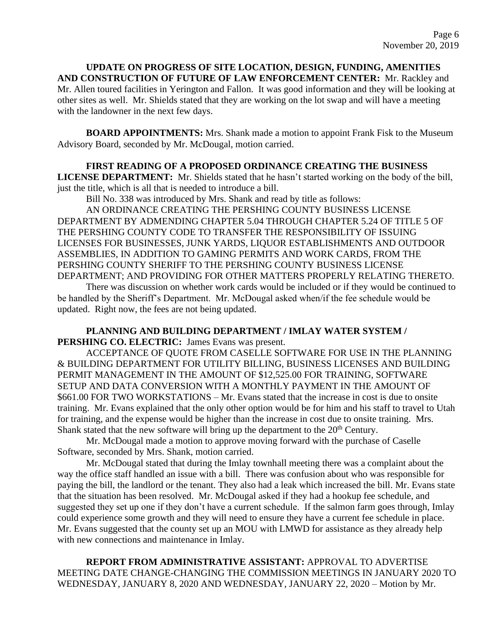**UPDATE ON PROGRESS OF SITE LOCATION, DESIGN, FUNDING, AMENITIES AND CONSTRUCTION OF FUTURE OF LAW ENFORCEMENT CENTER:** Mr. Rackley and Mr. Allen toured facilities in Yerington and Fallon. It was good information and they will be looking at other sites as well. Mr. Shields stated that they are working on the lot swap and will have a meeting with the landowner in the next few days.

**BOARD APPOINTMENTS:** Mrs. Shank made a motion to appoint Frank Fisk to the Museum Advisory Board, seconded by Mr. McDougal, motion carried.

#### **FIRST READING OF A PROPOSED ORDINANCE CREATING THE BUSINESS**

**LICENSE DEPARTMENT:** Mr. Shields stated that he hasn't started working on the body of the bill, just the title, which is all that is needed to introduce a bill.

Bill No. 338 was introduced by Mrs. Shank and read by title as follows:

AN ORDINANCE CREATING THE PERSHING COUNTY BUSINESS LICENSE DEPARTMENT BY ADMENDING CHAPTER 5.04 THROUGH CHAPTER 5.24 OF TITLE 5 OF THE PERSHING COUNTY CODE TO TRANSFER THE RESPONSIBILITY OF ISSUING LICENSES FOR BUSINESSES, JUNK YARDS, LIQUOR ESTABLISHMENTS AND OUTDOOR ASSEMBLIES, IN ADDITION TO GAMING PERMITS AND WORK CARDS, FROM THE PERSHING COUNTY SHERIFF TO THE PERSHING COUNTY BUSINESS LICENSE DEPARTMENT; AND PROVIDING FOR OTHER MATTERS PROPERLY RELATING THERETO.

There was discussion on whether work cards would be included or if they would be continued to be handled by the Sheriff's Department. Mr. McDougal asked when/if the fee schedule would be updated. Right now, the fees are not being updated.

## **PLANNING AND BUILDING DEPARTMENT / IMLAY WATER SYSTEM / PERSHING CO. ELECTRIC:** James Evans was present.

ACCEPTANCE OF QUOTE FROM CASELLE SOFTWARE FOR USE IN THE PLANNING & BUILDING DEPARTMENT FOR UTILITY BILLING, BUSINESS LICENSES AND BUILDING PERMIT MANAGEMENT IN THE AMOUNT OF \$12,525.00 FOR TRAINING, SOFTWARE SETUP AND DATA CONVERSION WITH A MONTHLY PAYMENT IN THE AMOUNT OF \$661.00 FOR TWO WORKSTATIONS – Mr. Evans stated that the increase in cost is due to onsite training. Mr. Evans explained that the only other option would be for him and his staff to travel to Utah for training, and the expense would be higher than the increase in cost due to onsite training. Mrs. Shank stated that the new software will bring up the department to the  $20<sup>th</sup>$  Century.

Mr. McDougal made a motion to approve moving forward with the purchase of Caselle Software, seconded by Mrs. Shank, motion carried.

Mr. McDougal stated that during the Imlay townhall meeting there was a complaint about the way the office staff handled an issue with a bill. There was confusion about who was responsible for paying the bill, the landlord or the tenant. They also had a leak which increased the bill. Mr. Evans state that the situation has been resolved. Mr. McDougal asked if they had a hookup fee schedule, and suggested they set up one if they don't have a current schedule. If the salmon farm goes through, Imlay could experience some growth and they will need to ensure they have a current fee schedule in place. Mr. Evans suggested that the county set up an MOU with LMWD for assistance as they already help with new connections and maintenance in Imlay.

**REPORT FROM ADMINISTRATIVE ASSISTANT:** APPROVAL TO ADVERTISE MEETING DATE CHANGE-CHANGING THE COMMISSION MEETINGS IN JANUARY 2020 TO WEDNESDAY, JANUARY 8, 2020 AND WEDNESDAY, JANUARY 22, 2020 – Motion by Mr.